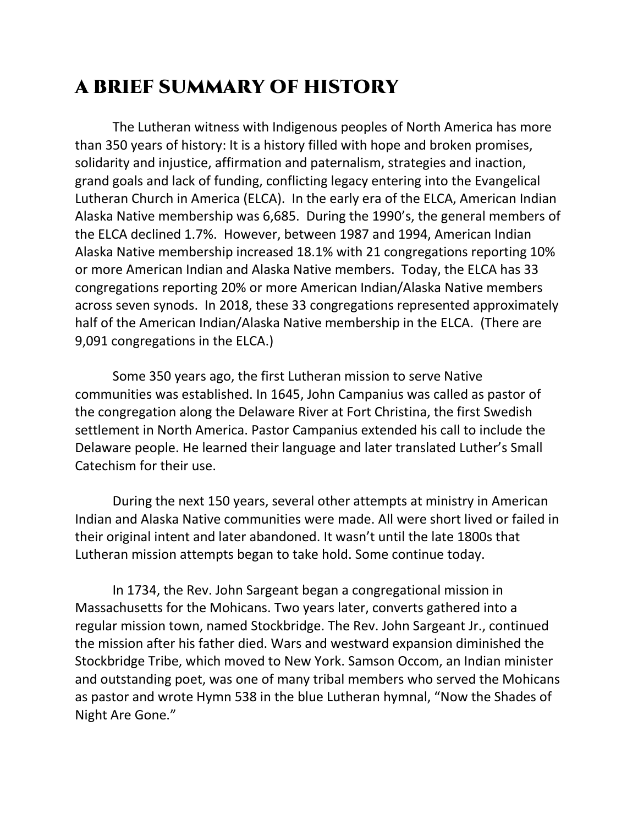## A BRIEF SUMMARY OF HISTORY

The Lutheran witness with Indigenous peoples of North America has more than 350 years of history: It is a history filled with hope and broken promises, solidarity and injustice, affirmation and paternalism, strategies and inaction, grand goals and lack of funding, conflicting legacy entering into the Evangelical Lutheran Church in America (ELCA). In the early era of the ELCA, American Indian Alaska Native membership was 6,685. During the 1990's, the general members of the ELCA declined 1.7%. However, between 1987 and 1994, American Indian Alaska Native membership increased 18.1% with 21 congregations reporting 10% or more American Indian and Alaska Native members. Today, the ELCA has 33 congregations reporting 20% or more American Indian/Alaska Native members across seven synods. In 2018, these 33 congregations represented approximately half of the American Indian/Alaska Native membership in the ELCA. (There are 9,091 congregations in the ELCA.)

Some 350 years ago, the first Lutheran mission to serve Native communities was established. In 1645, John Campanius was called as pastor of the congregation along the Delaware River at Fort Christina, the first Swedish settlement in North America. Pastor Campanius extended his call to include the Delaware people. He learned their language and later translated Luther's Small Catechism for their use.

During the next 150 years, several other attempts at ministry in American Indian and Alaska Native communities were made. All were short lived or failed in their original intent and later abandoned. It wasn't until the late 1800s that Lutheran mission attempts began to take hold. Some continue today.

In 1734, the Rev. John Sargeant began a congregational mission in Massachusetts for the Mohicans. Two years later, converts gathered into a regular mission town, named Stockbridge. The Rev. John Sargeant Jr., continued the mission after his father died. Wars and westward expansion diminished the Stockbridge Tribe, which moved to New York. Samson Occom, an Indian minister and outstanding poet, was one of many tribal members who served the Mohicans as pastor and wrote Hymn 538 in the blue Lutheran hymnal, "Now the Shades of Night Are Gone."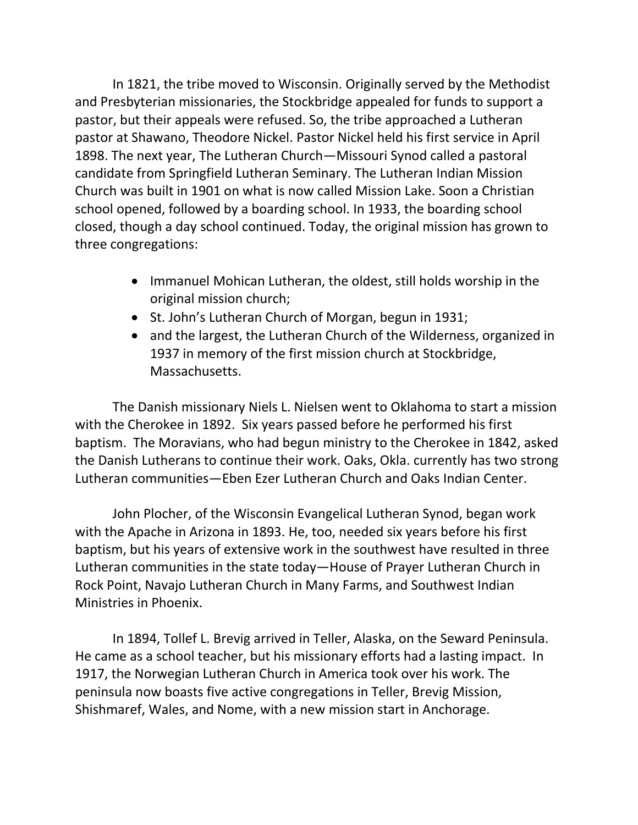In 1821, the tribe moved to Wisconsin. Originally served by the Methodist and Presbyterian missionaries, the Stockbridge appealed for funds to support a pastor, but their appeals were refused. So, the tribe approached a Lutheran pastor at Shawano, Theodore Nickel. Pastor Nickel held his first service in April 1898. The next year, The Lutheran Church—Missouri Synod called a pastoral candidate from Springfield Lutheran Seminary. The Lutheran Indian Mission Church was built in 1901 on what is now called Mission Lake. Soon a Christian school opened, followed by a boarding school. In 1933, the boarding school closed, though a day school continued. Today, the original mission has grown to three congregations:

- Immanuel Mohican Lutheran, the oldest, still holds worship in the original mission church;
- St. John's Lutheran Church of Morgan, begun in 1931;
- and the largest, the Lutheran Church of the Wilderness, organized in 1937 in memory of the first mission church at Stockbridge, Massachusetts.

The Danish missionary Niels L. Nielsen went to Oklahoma to start a mission with the Cherokee in 1892. Six years passed before he performed his first baptism. The Moravians, who had begun ministry to the Cherokee in 1842, asked the Danish Lutherans to continue their work. Oaks, Okla. currently has two strong Lutheran communities—Eben Ezer Lutheran Church and Oaks Indian Center.

John Plocher, of the Wisconsin Evangelical Lutheran Synod, began work with the Apache in Arizona in 1893. He, too, needed six years before his first baptism, but his years of extensive work in the southwest have resulted in three Lutheran communities in the state today—House of Prayer Lutheran Church in Rock Point, Navajo Lutheran Church in Many Farms, and Southwest Indian Ministries in Phoenix.

In 1894, Tollef L. Brevig arrived in Teller, Alaska, on the Seward Peninsula. He came as a school teacher, but his missionary efforts had a lasting impact. In 1917, the Norwegian Lutheran Church in America took over his work. The peninsula now boasts five active congregations in Teller, Brevig Mission, Shishmaref, Wales, and Nome, with a new mission start in Anchorage.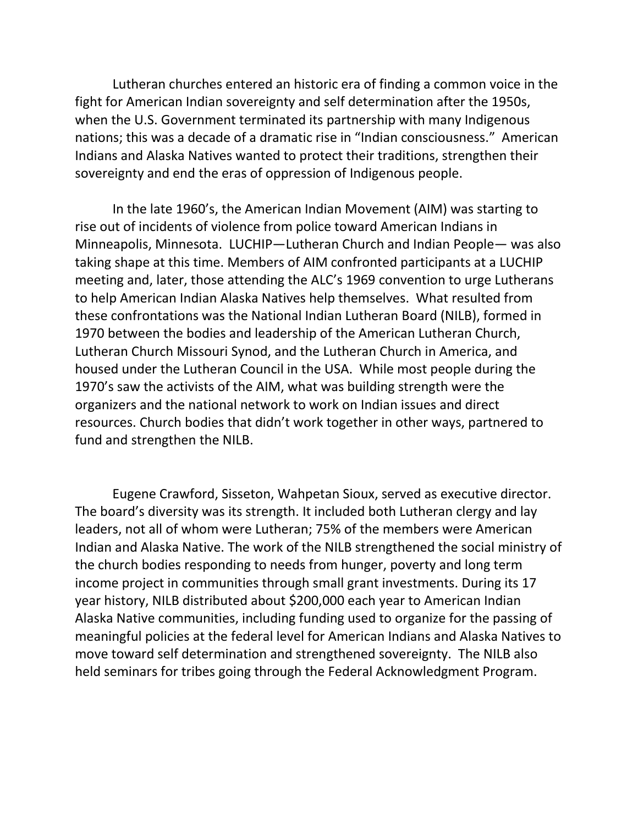Lutheran churches entered an historic era of finding a common voice in the fight for American Indian sovereignty and self determination after the 1950s, when the U.S. Government terminated its partnership with many Indigenous nations; this was a decade of a dramatic rise in "Indian consciousness." American Indians and Alaska Natives wanted to protect their traditions, strengthen their sovereignty and end the eras of oppression of Indigenous people.

In the late 1960's, the American Indian Movement (AIM) was starting to rise out of incidents of violence from police toward American Indians in Minneapolis, Minnesota. LUCHIP—Lutheran Church and Indian People— was also taking shape at this time. Members of AIM confronted participants at a LUCHIP meeting and, later, those attending the ALC's 1969 convention to urge Lutherans to help American Indian Alaska Natives help themselves. What resulted from these confrontations was the National Indian Lutheran Board (NILB), formed in 1970 between the bodies and leadership of the American Lutheran Church, Lutheran Church Missouri Synod, and the Lutheran Church in America, and housed under the Lutheran Council in the USA. While most people during the 1970's saw the activists of the AIM, what was building strength were the organizers and the national network to work on Indian issues and direct resources. Church bodies that didn't work together in other ways, partnered to fund and strengthen the NILB.

Eugene Crawford, Sisseton, Wahpetan Sioux, served as executive director. The board's diversity was its strength. It included both Lutheran clergy and lay leaders, not all of whom were Lutheran; 75% of the members were American Indian and Alaska Native. The work of the NILB strengthened the social ministry of the church bodies responding to needs from hunger, poverty and long term income project in communities through small grant investments. During its 17 year history, NILB distributed about \$200,000 each year to American Indian Alaska Native communities, including funding used to organize for the passing of meaningful policies at the federal level for American Indians and Alaska Natives to move toward self determination and strengthened sovereignty. The NILB also held seminars for tribes going through the Federal Acknowledgment Program.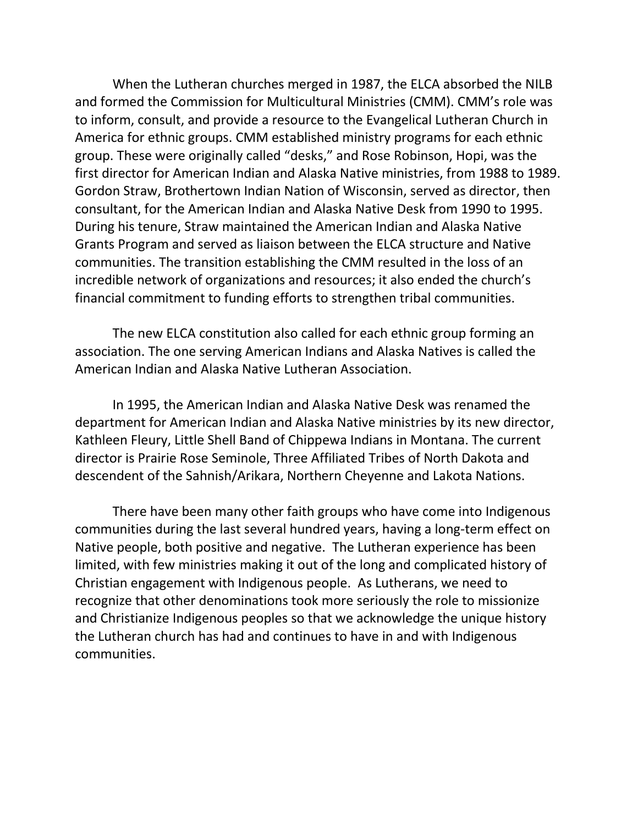When the Lutheran churches merged in 1987, the ELCA absorbed the NILB and formed the Commission for Multicultural Ministries (CMM). CMM's role was to inform, consult, and provide a resource to the Evangelical Lutheran Church in America for ethnic groups. CMM established ministry programs for each ethnic group. These were originally called "desks," and Rose Robinson, Hopi, was the first director for American Indian and Alaska Native ministries, from 1988 to 1989. Gordon Straw, Brothertown Indian Nation of Wisconsin, served as director, then consultant, for the American Indian and Alaska Native Desk from 1990 to 1995. During his tenure, Straw maintained the American Indian and Alaska Native Grants Program and served as liaison between the ELCA structure and Native communities. The transition establishing the CMM resulted in the loss of an incredible network of organizations and resources; it also ended the church's financial commitment to funding efforts to strengthen tribal communities.

The new ELCA constitution also called for each ethnic group forming an association. The one serving American Indians and Alaska Natives is called the American Indian and Alaska Native Lutheran Association.

In 1995, the American Indian and Alaska Native Desk was renamed the department for American Indian and Alaska Native ministries by its new director, Kathleen Fleury, Little Shell Band of Chippewa Indians in Montana. The current director is Prairie Rose Seminole, Three Affiliated Tribes of North Dakota and descendent of the Sahnish/Arikara, Northern Cheyenne and Lakota Nations.

There have been many other faith groups who have come into Indigenous communities during the last several hundred years, having a long-term effect on Native people, both positive and negative. The Lutheran experience has been limited, with few ministries making it out of the long and complicated history of Christian engagement with Indigenous people. As Lutherans, we need to recognize that other denominations took more seriously the role to missionize and Christianize Indigenous peoples so that we acknowledge the unique history the Lutheran church has had and continues to have in and with Indigenous communities.